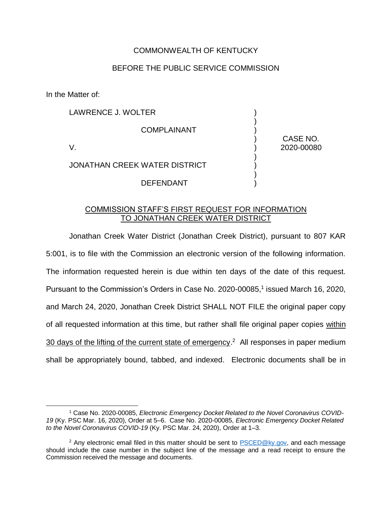## COMMONWEALTH OF KENTUCKY

## BEFORE THE PUBLIC SERVICE COMMISSION

In the Matter of:

 $\overline{a}$ 

LAWRENCE J. WOLTER COMPLAINANT V. JONATHAN CREEK WATER DISTRICT DEFENDANT ) ) ) ) ) ) ) ) ) CASE NO. 2020-00080

## COMMISSION STAFF'S FIRST REQUEST FOR INFORMATION TO JONATHAN CREEK WATER DISTRICT

Jonathan Creek Water District (Jonathan Creek District), pursuant to 807 KAR 5:001, is to file with the Commission an electronic version of the following information. The information requested herein is due within ten days of the date of this request. Pursuant to the Commission's Orders in Case No. 2020-00085,<sup>1</sup> issued March 16, 2020, and March 24, 2020, Jonathan Creek District SHALL NOT FILE the original paper copy of all requested information at this time, but rather shall file original paper copies within 30 days of the lifting of the current state of emergency.<sup>2</sup> All responses in paper medium shall be appropriately bound, tabbed, and indexed. Electronic documents shall be in

<sup>1</sup> Case No. 2020-00085, *Electronic Emergency Docket Related to the Novel Coronavirus COVID-19* (Ky. PSC Mar. 16, 2020), Order at 5–6. Case No. 2020-00085, *Electronic Emergency Docket Related to the Novel Coronavirus COVID-19* (Ky. PSC Mar. 24, 2020), Order at 1–3.

<sup>&</sup>lt;sup>2</sup> Any electronic email filed in this matter should be sent to  $PSCED@ky.gov$ , and each message should include the case number in the subject line of the message and a read receipt to ensure the Commission received the message and documents.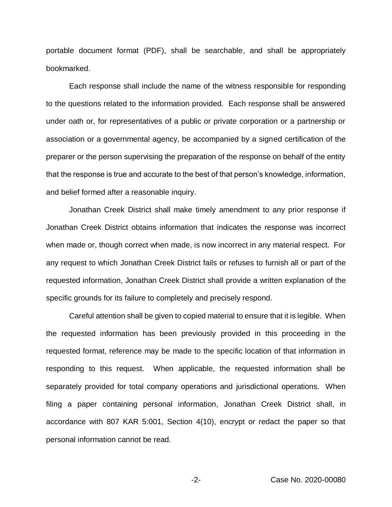portable document format (PDF), shall be searchable, and shall be appropriately bookmarked.

Each response shall include the name of the witness responsible for responding to the questions related to the information provided. Each response shall be answered under oath or, for representatives of a public or private corporation or a partnership or association or a governmental agency, be accompanied by a signed certification of the preparer or the person supervising the preparation of the response on behalf of the entity that the response is true and accurate to the best of that person's knowledge, information, and belief formed after a reasonable inquiry.

Jonathan Creek District shall make timely amendment to any prior response if Jonathan Creek District obtains information that indicates the response was incorrect when made or, though correct when made, is now incorrect in any material respect. For any request to which Jonathan Creek District fails or refuses to furnish all or part of the requested information, Jonathan Creek District shall provide a written explanation of the specific grounds for its failure to completely and precisely respond.

Careful attention shall be given to copied material to ensure that it is legible. When the requested information has been previously provided in this proceeding in the requested format, reference may be made to the specific location of that information in responding to this request. When applicable, the requested information shall be separately provided for total company operations and jurisdictional operations. When filing a paper containing personal information, Jonathan Creek District shall, in accordance with 807 KAR 5:001, Section 4(10), encrypt or redact the paper so that personal information cannot be read.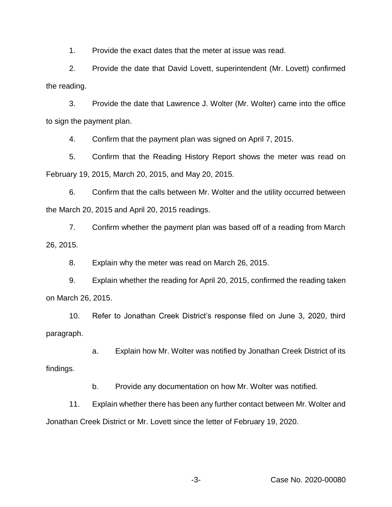1. Provide the exact dates that the meter at issue was read.

2. Provide the date that David Lovett, superintendent (Mr. Lovett) confirmed the reading.

3. Provide the date that Lawrence J. Wolter (Mr. Wolter) came into the office to sign the payment plan.

4. Confirm that the payment plan was signed on April 7, 2015.

5. Confirm that the Reading History Report shows the meter was read on February 19, 2015, March 20, 2015, and May 20, 2015.

6. Confirm that the calls between Mr. Wolter and the utility occurred between the March 20, 2015 and April 20, 2015 readings.

7. Confirm whether the payment plan was based off of a reading from March 26, 2015.

8. Explain why the meter was read on March 26, 2015.

9. Explain whether the reading for April 20, 2015, confirmed the reading taken on March 26, 2015.

10. Refer to Jonathan Creek District's response filed on June 3, 2020, third paragraph.

a. Explain how Mr. Wolter was notified by Jonathan Creek District of its findings.

b. Provide any documentation on how Mr. Wolter was notified.

11. Explain whether there has been any further contact between Mr. Wolter and Jonathan Creek District or Mr. Lovett since the letter of February 19, 2020.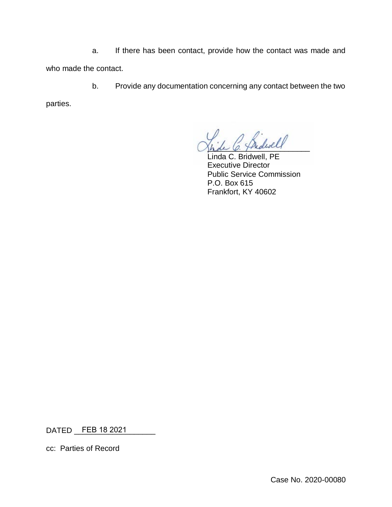a. If there has been contact, provide how the contact was made and who made the contact.

b. Provide any documentation concerning any contact between the two

parties.

hde 6. Thedwar

Linda C. Bridwell, PE Executive Director Public Service Commission P.O. Box 615 Frankfort, KY 40602

DATED \_\_\_\_\_\_\_\_\_\_\_\_\_\_\_\_\_\_\_ FEB 18 2021

cc: Parties of Record